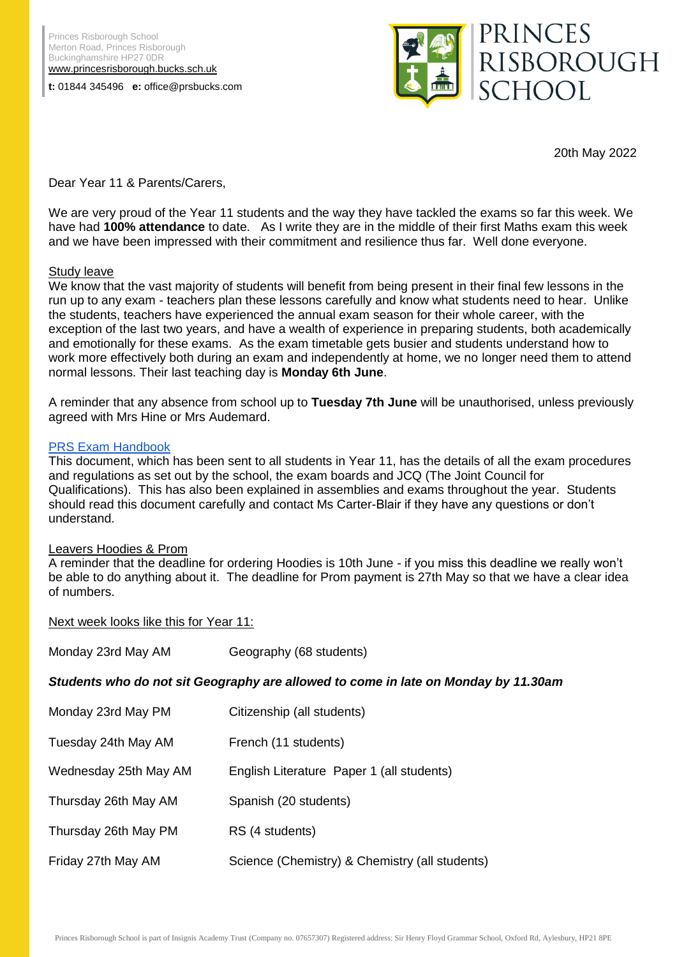**t:** 01844 345496 **e:** office@prsbucks.com



20th May 2022

Dear Year 11 & Parents/Carers,

We are very proud of the Year 11 students and the way they have tackled the exams so far this week. We have had **100% attendance** to date. As I write they are in the middle of their first Maths exam this week and we have been impressed with their commitment and resilience thus far. Well done everyone.

## Study leave

We know that the vast majority of students will benefit from being present in their final few lessons in the run up to any exam - teachers plan these lessons carefully and know what students need to hear. Unlike the students, teachers have experienced the annual exam season for their whole career, with the exception of the last two years, and have a wealth of experience in preparing students, both academically and emotionally for these exams. As the exam timetable gets busier and students understand how to work more effectively both during an exam and independently at home, we no longer need them to attend normal lessons. Their last teaching day is **Monday 6th June**.

A reminder that any absence from school up to **Tuesday 7th June** will be unauthorised, unless previously agreed with Mrs Hine or Mrs Audemard.

## [PRS Exam Handbook](https://drive.google.com/file/d/1a_ci5l1ZJeUPHHlFFtBWH6UhqwVxclxe/view?usp=sharing)

This document, which has been sent to all students in Year 11, has the details of all the exam procedures and regulations as set out by the school, the exam boards and JCQ (The Joint Council for Qualifications). This has also been explained in assemblies and exams throughout the year. Students should read this document carefully and contact Ms Carter-Blair if they have any questions or don't understand.

## Leavers Hoodies & Prom

A reminder that the deadline for ordering Hoodies is 10th June - if you miss this deadline we really won't be able to do anything about it. The deadline for Prom payment is 27th May so that we have a clear idea of numbers.

Next week looks like this for Year 11:

| Monday 23rd May AM                                                                 | Geography (68 students)                        |
|------------------------------------------------------------------------------------|------------------------------------------------|
| Students who do not sit Geography are allowed to come in late on Monday by 11.30am |                                                |
| Monday 23rd May PM                                                                 | Citizenship (all students)                     |
| Tuesday 24th May AM                                                                | French (11 students)                           |
| Wednesday 25th May AM                                                              | English Literature Paper 1 (all students)      |
| Thursday 26th May AM                                                               | Spanish (20 students)                          |
| Thursday 26th May PM                                                               | RS (4 students)                                |
| Friday 27th May AM                                                                 | Science (Chemistry) & Chemistry (all students) |